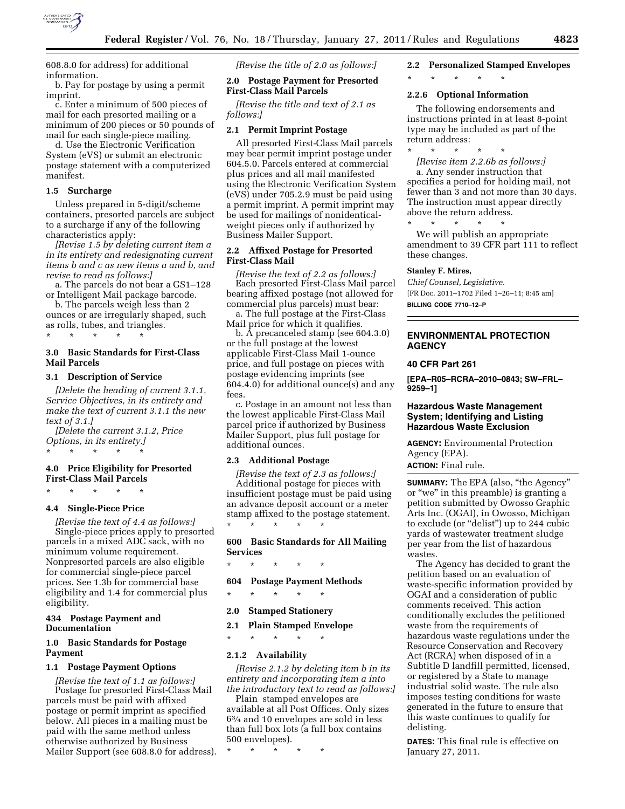

608.8.0 for address) for additional information.

b. Pay for postage by using a permit imprint.

c. Enter a minimum of 500 pieces of mail for each presorted mailing or a minimum of 200 pieces or 50 pounds of mail for each single-piece mailing.

d. Use the Electronic Verification System (eVS) or submit an electronic postage statement with a computerized manifest.

### **1.5 Surcharge**

Unless prepared in 5-digit/scheme containers, presorted parcels are subject to a surcharge if any of the following characteristics apply:

*[Revise 1.5 by deleting current item a in its entirety and redesignating current items b and c as new items a and b, and revise to read as follows:]* 

a. The parcels do not bear a GS1–128 or Intelligent Mail package barcode.

b. The parcels weigh less than 2 ounces or are irregularly shaped, such as rolls, tubes, and triangles.

### **3.0 Basic Standards for First-Class Mail Parcels**

#### **3.1 Description of Service**

\* \* \* \* \*

*[Delete the heading of current 3.1.1, Service Objectives, in its entirety and make the text of current 3.1.1 the new text of 3.1.]* 

*[Delete the current 3.1.2, Price Options, in its entirety.]*  \* \* \* \* \*

## **4.0 Price Eligibility for Presorted First-Class Mail Parcels**

\* \* \* \* \*

#### **4.4 Single-Piece Price**

*[Revise the text of 4.4 as follows:]*  Single-piece prices apply to presorted parcels in a mixed ADC sack, with no minimum volume requirement. Nonpresorted parcels are also eligible for commercial single-piece parcel prices. See 1.3b for commercial base eligibility and 1.4 for commercial plus eligibility.

### **434 Postage Payment and Documentation**

### **1.0 Basic Standards for Postage Payment**

#### **1.1 Postage Payment Options**

*[Revise the text of 1.1 as follows:]*  Postage for presorted First-Class Mail parcels must be paid with affixed postage or permit imprint as specified below. All pieces in a mailing must be paid with the same method unless otherwise authorized by Business Mailer Support (see 608.8.0 for address). *[Revise the title of 2.0 as follows:]* 

**2.0 Postage Payment for Presorted First-Class Mail Parcels** 

*[Revise the title and text of 2.1 as follows:]* 

#### **2.1 Permit Imprint Postage**

All presorted First-Class Mail parcels may bear permit imprint postage under 604.5.0. Parcels entered at commercial plus prices and all mail manifested using the Electronic Verification System (eVS) under 705.2.9 must be paid using a permit imprint. A permit imprint may be used for mailings of nonidenticalweight pieces only if authorized by Business Mailer Support.

## **2.2 Affixed Postage for Presorted First-Class Mail**

*[Revise the text of 2.2 as follows:]*  Each presorted First-Class Mail parcel bearing affixed postage (not allowed for commercial plus parcels) must bear:

a. The full postage at the First-Class Mail price for which it qualifies.

b. A precanceled stamp (see 604.3.0) or the full postage at the lowest applicable First-Class Mail 1-ounce price, and full postage on pieces with postage evidencing imprints (see 604.4.0) for additional ounce(s) and any fees.

c. Postage in an amount not less than the lowest applicable First-Class Mail parcel price if authorized by Business Mailer Support, plus full postage for additional ounces.

#### **2.3 Additional Postage**

*[Revise the text of 2.3 as follows:]*  Additional postage for pieces with insufficient postage must be paid using an advance deposit account or a meter stamp affixed to the postage statement. \* \* \* \* \*

**600 Basic Standards for All Mailing Services** 

\* \* \* \* \*

## **604 Postage Payment Methods**

\* \* \* \* \*

## **2.0 Stamped Stationery**

**2.1 Plain Stamped Envelope** 

\* \* \* \* \*

## **2.1.2 Availability**

*[Revise 2.1.2 by deleting item b in its entirety and incorporating item a into the introductory text to read as follows:]* 

Plain stamped envelopes are available at all Post Offices. Only sizes 63⁄4 and 10 envelopes are sold in less than full box lots (a full box contains 500 envelopes).

\* \* \* \* \*

# **2.2 Personalized Stamped Envelopes**

## \* \* \* \* \*

## **2.2.6 Optional Information**

The following endorsements and instructions printed in at least 8-point type may be included as part of the return address:

\* \* \* \* \* *[Revise item 2.2.6b as follows:]*  a. Any sender instruction that specifies a period for holding mail, not fewer than 3 and not more than 30 days. The instruction must appear directly above the return address.

\* \* \* \* \* We will publish an appropriate amendment to 39 CFR part 111 to reflect these changes.

#### **Stanley F. Mires,**

*Chief Counsel, Legislative.*  [FR Doc. 2011–1702 Filed 1–26–11; 8:45 am] **BILLING CODE 7710–12–P** 

## **ENVIRONMENTAL PROTECTION AGENCY**

### **40 CFR Part 261**

**[EPA–R05–RCRA–2010–0843; SW–FRL– 9259–1]** 

#### **Hazardous Waste Management System; Identifying and Listing Hazardous Waste Exclusion**

**AGENCY:** Environmental Protection Agency (EPA). **ACTION:** Final rule.

**SUMMARY:** The EPA (also, "the Agency" or ''we'' in this preamble) is granting a petition submitted by Owosso Graphic Arts Inc. (OGAI), in Owosso, Michigan to exclude (or ''delist'') up to 244 cubic yards of wastewater treatment sludge per year from the list of hazardous wastes.

The Agency has decided to grant the petition based on an evaluation of waste-specific information provided by OGAI and a consideration of public comments received. This action conditionally excludes the petitioned waste from the requirements of hazardous waste regulations under the Resource Conservation and Recovery Act (RCRA) when disposed of in a Subtitle D landfill permitted, licensed, or registered by a State to manage industrial solid waste. The rule also imposes testing conditions for waste generated in the future to ensure that this waste continues to qualify for delisting.

**DATES:** This final rule is effective on January 27, 2011.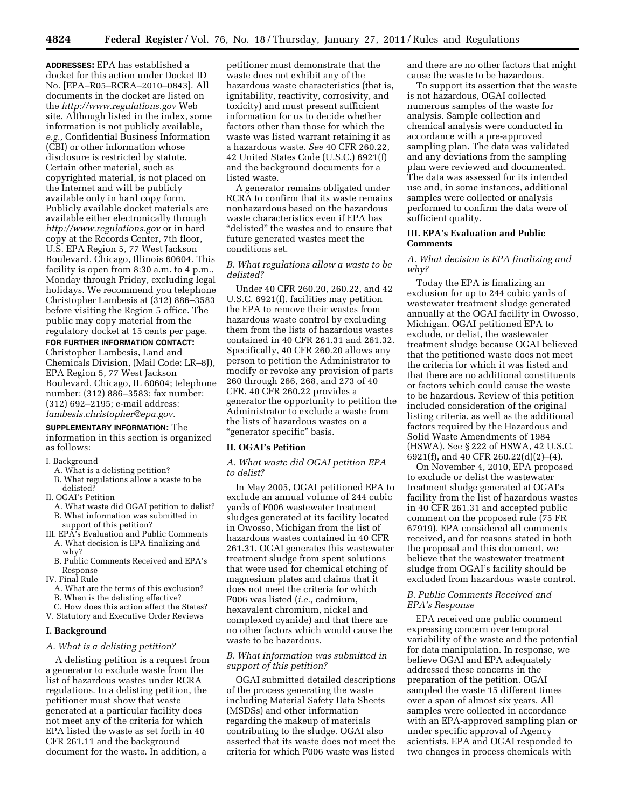**4824 Federal Register** / Vol. 76, No. 18 / Thursday, January 27, 2011 / Rules and Regulations

**ADDRESSES:** EPA has established a docket for this action under Docket ID No. [EPA–R05–RCRA–2010–0843]. All documents in the docket are listed on the *<http://www.regulations.gov>*Web site. Although listed in the index, some information is not publicly available, *e.g.,* Confidential Business Information (CBI) or other information whose disclosure is restricted by statute. Certain other material, such as copyrighted material, is not placed on the Internet and will be publicly available only in hard copy form. Publicly available docket materials are available either electronically through *<http://www.regulations.gov>* or in hard copy at the Records Center, 7th floor, U.S. EPA Region 5, 77 West Jackson Boulevard, Chicago, Illinois 60604. This facility is open from 8:30 a.m. to 4 p.m., Monday through Friday, excluding legal holidays. We recommend you telephone Christopher Lambesis at (312) 886–3583 before visiting the Region 5 office. The public may copy material from the regulatory docket at 15 cents per page.

### **FOR FURTHER INFORMATION CONTACT:**

Christopher Lambesis, Land and Chemicals Division, (Mail Code: LR–8J), EPA Region 5, 77 West Jackson Boulevard, Chicago, IL 60604; telephone number: (312) 886–3583; fax number: (312) 692–2195; e-mail address: *[lambesis.christopher@epa.gov.](mailto:lambesis.christopher@epa.gov)* 

## **SUPPLEMENTARY INFORMATION:** The

information in this section is organized as follows:

- I. Background
	- A. What is a delisting petition?
	- B. What regulations allow a waste to be delisted?
- II. OGAI's Petition
	- A. What waste did OGAI petition to delist? B. What information was submitted in
	- support of this petition?
- III. EPA's Evaluation and Public Comments
- A. What decision is EPA finalizing and why?
- B. Public Comments Received and EPA's Response
- IV. Final Rule
	- A. What are the terms of this exclusion?
	- B. When is the delisting effective?
- C. How does this action affect the States? V. Statutory and Executive Order Reviews

#### **I. Background**

#### *A. What is a delisting petition?*

A delisting petition is a request from a generator to exclude waste from the list of hazardous wastes under RCRA regulations. In a delisting petition, the petitioner must show that waste generated at a particular facility does not meet any of the criteria for which EPA listed the waste as set forth in 40 CFR 261.11 and the background document for the waste. In addition, a

petitioner must demonstrate that the waste does not exhibit any of the hazardous waste characteristics (that is, ignitability, reactivity, corrosivity, and toxicity) and must present sufficient information for us to decide whether factors other than those for which the waste was listed warrant retaining it as a hazardous waste. *See* 40 CFR 260.22, 42 United States Code (U.S.C.) 6921(f) and the background documents for a listed waste.

A generator remains obligated under RCRA to confirm that its waste remains nonhazardous based on the hazardous waste characteristics even if EPA has "delisted" the wastes and to ensure that future generated wastes meet the conditions set.

## *B. What regulations allow a waste to be delisted?*

Under 40 CFR 260.20, 260.22, and 42 U.S.C. 6921(f), facilities may petition the EPA to remove their wastes from hazardous waste control by excluding them from the lists of hazardous wastes contained in 40 CFR 261.31 and 261.32. Specifically, 40 CFR 260.20 allows any person to petition the Administrator to modify or revoke any provision of parts 260 through 266, 268, and 273 of 40 CFR. 40 CFR 260.22 provides a generator the opportunity to petition the Administrator to exclude a waste from the lists of hazardous wastes on a "generator specific" basis.

#### **II. OGAI's Petition**

*A. What waste did OGAI petition EPA to delist?* 

In May 2005, OGAI petitioned EPA to exclude an annual volume of 244 cubic yards of F006 wastewater treatment sludges generated at its facility located in Owosso, Michigan from the list of hazardous wastes contained in 40 CFR 261.31. OGAI generates this wastewater treatment sludge from spent solutions that were used for chemical etching of magnesium plates and claims that it does not meet the criteria for which F006 was listed (*i.e.,* cadmium, hexavalent chromium, nickel and complexed cyanide) and that there are no other factors which would cause the waste to be hazardous.

## *B. What information was submitted in support of this petition?*

OGAI submitted detailed descriptions of the process generating the waste including Material Safety Data Sheets (MSDSs) and other information regarding the makeup of materials contributing to the sludge. OGAI also asserted that its waste does not meet the criteria for which F006 waste was listed

and there are no other factors that might cause the waste to be hazardous.

To support its assertion that the waste is not hazardous, OGAI collected numerous samples of the waste for analysis. Sample collection and chemical analysis were conducted in accordance with a pre-approved sampling plan. The data was validated and any deviations from the sampling plan were reviewed and documented. The data was assessed for its intended use and, in some instances, additional samples were collected or analysis performed to confirm the data were of sufficient quality.

### **III. EPA's Evaluation and Public Comments**

## *A. What decision is EPA finalizing and why?*

Today the EPA is finalizing an exclusion for up to 244 cubic yards of wastewater treatment sludge generated annually at the OGAI facility in Owosso, Michigan. OGAI petitioned EPA to exclude, or delist, the wastewater treatment sludge because OGAI believed that the petitioned waste does not meet the criteria for which it was listed and that there are no additional constituents or factors which could cause the waste to be hazardous. Review of this petition included consideration of the original listing criteria, as well as the additional factors required by the Hazardous and Solid Waste Amendments of 1984 (HSWA). See § 222 of HSWA, 42 U.S.C. 6921(f), and 40 CFR 260.22(d)(2)–(4).

On November 4, 2010, EPA proposed to exclude or delist the wastewater treatment sludge generated at OGAI's facility from the list of hazardous wastes in 40 CFR 261.31 and accepted public comment on the proposed rule (75 FR 67919). EPA considered all comments received, and for reasons stated in both the proposal and this document, we believe that the wastewater treatment sludge from OGAI's facility should be excluded from hazardous waste control.

### *B. Public Comments Received and EPA's Response*

EPA received one public comment expressing concern over temporal variability of the waste and the potential for data manipulation. In response, we believe OGAI and EPA adequately addressed these concerns in the preparation of the petition. OGAI sampled the waste 15 different times over a span of almost six years. All samples were collected in accordance with an EPA-approved sampling plan or under specific approval of Agency scientists. EPA and OGAI responded to two changes in process chemicals with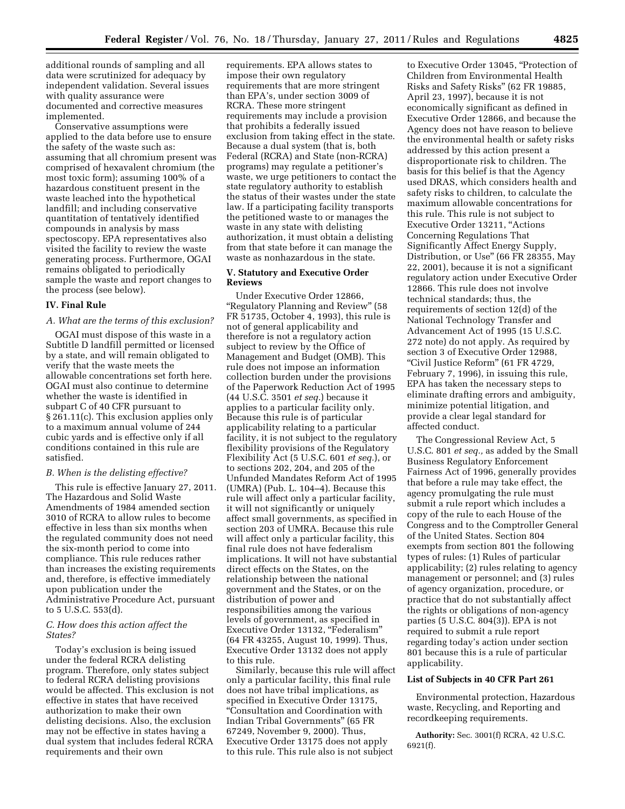additional rounds of sampling and all data were scrutinized for adequacy by independent validation. Several issues with quality assurance were documented and corrective measures implemented.

Conservative assumptions were applied to the data before use to ensure the safety of the waste such as: assuming that all chromium present was comprised of hexavalent chromium (the most toxic form); assuming 100% of a hazardous constituent present in the waste leached into the hypothetical landfill; and including conservative quantitation of tentatively identified compounds in analysis by mass spectoscopy. EPA representatives also visited the facility to review the waste generating process. Furthermore, OGAI remains obligated to periodically sample the waste and report changes to the process (see below).

#### **IV. Final Rule**

### *A. What are the terms of this exclusion?*

OGAI must dispose of this waste in a Subtitle D landfill permitted or licensed by a state, and will remain obligated to verify that the waste meets the allowable concentrations set forth here. OGAI must also continue to determine whether the waste is identified in subpart C of 40 CFR pursuant to § 261.11(c). This exclusion applies only to a maximum annual volume of 244 cubic yards and is effective only if all conditions contained in this rule are satisfied.

#### *B. When is the delisting effective?*

This rule is effective January 27, 2011. The Hazardous and Solid Waste Amendments of 1984 amended section 3010 of RCRA to allow rules to become effective in less than six months when the regulated community does not need the six-month period to come into compliance. This rule reduces rather than increases the existing requirements and, therefore, is effective immediately upon publication under the Administrative Procedure Act, pursuant to 5 U.S.C. 553(d).

#### *C. How does this action affect the States?*

Today's exclusion is being issued under the federal RCRA delisting program. Therefore, only states subject to federal RCRA delisting provisions would be affected. This exclusion is not effective in states that have received authorization to make their own delisting decisions. Also, the exclusion may not be effective in states having a dual system that includes federal RCRA requirements and their own

requirements. EPA allows states to impose their own regulatory requirements that are more stringent than EPA's, under section 3009 of RCRA. These more stringent requirements may include a provision that prohibits a federally issued exclusion from taking effect in the state. Because a dual system (that is, both Federal (RCRA) and State (non-RCRA) programs) may regulate a petitioner's waste, we urge petitioners to contact the state regulatory authority to establish the status of their wastes under the state law. If a participating facility transports the petitioned waste to or manages the waste in any state with delisting authorization, it must obtain a delisting from that state before it can manage the waste as nonhazardous in the state.

### **V. Statutory and Executive Order Reviews**

Under Executive Order 12866, "Regulatory Planning and Review" (58 FR 51735, October 4, 1993), this rule is not of general applicability and therefore is not a regulatory action subject to review by the Office of Management and Budget (OMB). This rule does not impose an information collection burden under the provisions of the Paperwork Reduction Act of 1995 (44 U.S.C. 3501 *et seq.*) because it applies to a particular facility only. Because this rule is of particular applicability relating to a particular facility, it is not subject to the regulatory flexibility provisions of the Regulatory Flexibility Act (5 U.S.C. 601 *et seq.*), or to sections 202, 204, and 205 of the Unfunded Mandates Reform Act of 1995 (UMRA) (Pub. L. 104–4). Because this rule will affect only a particular facility, it will not significantly or uniquely affect small governments, as specified in section 203 of UMRA. Because this rule will affect only a particular facility, this final rule does not have federalism implications. It will not have substantial direct effects on the States, on the relationship between the national government and the States, or on the distribution of power and responsibilities among the various levels of government, as specified in Executive Order 13132, "Federalism" (64 FR 43255, August 10, 1999). Thus, Executive Order 13132 does not apply to this rule.

Similarly, because this rule will affect only a particular facility, this final rule does not have tribal implications, as specified in Executive Order 13175, ''Consultation and Coordination with Indian Tribal Governments'' (65 FR 67249, November 9, 2000). Thus, Executive Order 13175 does not apply to this rule. This rule also is not subject

to Executive Order 13045, ''Protection of Children from Environmental Health Risks and Safety Risks'' (62 FR 19885, April 23, 1997), because it is not economically significant as defined in Executive Order 12866, and because the Agency does not have reason to believe the environmental health or safety risks addressed by this action present a disproportionate risk to children. The basis for this belief is that the Agency used DRAS, which considers health and safety risks to children, to calculate the maximum allowable concentrations for this rule. This rule is not subject to Executive Order 13211, ''Actions Concerning Regulations That Significantly Affect Energy Supply, Distribution, or Use'' (66 FR 28355, May 22, 2001), because it is not a significant regulatory action under Executive Order 12866. This rule does not involve technical standards; thus, the requirements of section 12(d) of the National Technology Transfer and Advancement Act of 1995 (15 U.S.C. 272 note) do not apply. As required by section 3 of Executive Order 12988, ''Civil Justice Reform'' (61 FR 4729, February 7, 1996), in issuing this rule, EPA has taken the necessary steps to eliminate drafting errors and ambiguity, minimize potential litigation, and provide a clear legal standard for affected conduct.

The Congressional Review Act, 5 U.S.C. 801 *et seq.,* as added by the Small Business Regulatory Enforcement Fairness Act of 1996, generally provides that before a rule may take effect, the agency promulgating the rule must submit a rule report which includes a copy of the rule to each House of the Congress and to the Comptroller General of the United States. Section 804 exempts from section 801 the following types of rules: (1) Rules of particular applicability; (2) rules relating to agency management or personnel; and (3) rules of agency organization, procedure, or practice that do not substantially affect the rights or obligations of non-agency parties (5 U.S.C. 804(3)). EPA is not required to submit a rule report regarding today's action under section 801 because this is a rule of particular applicability.

## **List of Subjects in 40 CFR Part 261**

Environmental protection, Hazardous waste, Recycling, and Reporting and recordkeeping requirements.

**Authority:** Sec. 3001(f) RCRA, 42 U.S.C. 6921(f).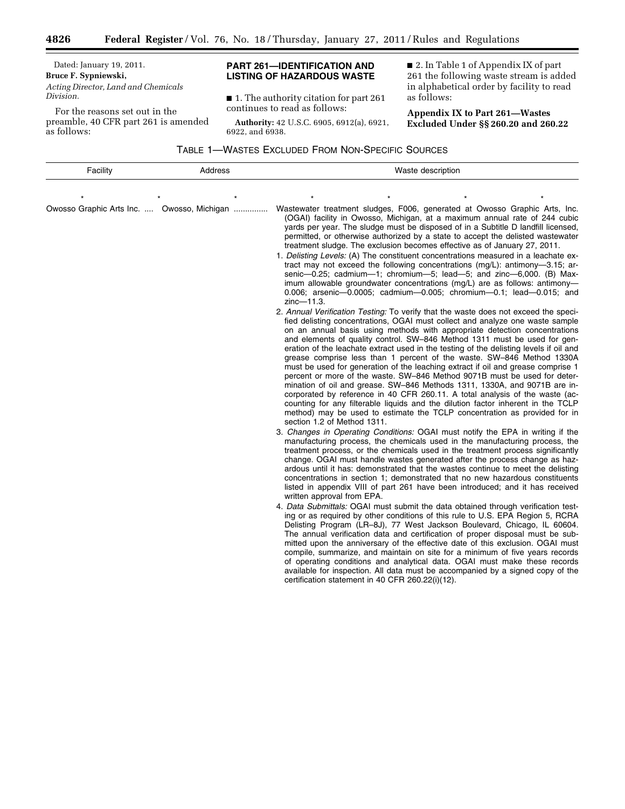Dated: January 19, 2011. **Bruce F. Sypniewski,**  *Acting Director, Land and Chemicals Division.* 

۳

For the reasons set out in the preamble, 40 CFR part 261 is amended as follows:

## **PART 261—IDENTIFICATION AND LISTING OF HAZARDOUS WASTE**

■ 1. The authority citation for part 261 continues to read as follows:

**Authority:** 42 U.S.C. 6905, 6912(a), 6921, 6922, and 6938.

■ 2. In Table 1 of Appendix IX of part 261 the following waste stream is added in alphabetical order by facility to read as follows:

**Appendix IX to Part 261—Wastes Excluded Under §§ 260.20 and 260.22** 

TABLE 1—WASTES EXCLUDED FROM NON-SPECIFIC SOURCES

| Facility | Address                                    | Waste description                                                                                                                                                                                                                                                                                                                                                                                                                                                                                                                                                                                                                                                                                                                                                                                                                                                                                                                                                                                                                                                                                                                                                                                                                                                                                                                                                                                                                                                                                                                                                                                                                                                                                                                                                                                                                                                                                                                                                                                                                                                                                                                                                                                                                                                                                                                                                                                                                                                                                                                                                                                                                                                                                                                                                                                                                                                                                                                                                                                                                                                                                                                                                                                                   |  |  |
|----------|--------------------------------------------|---------------------------------------------------------------------------------------------------------------------------------------------------------------------------------------------------------------------------------------------------------------------------------------------------------------------------------------------------------------------------------------------------------------------------------------------------------------------------------------------------------------------------------------------------------------------------------------------------------------------------------------------------------------------------------------------------------------------------------------------------------------------------------------------------------------------------------------------------------------------------------------------------------------------------------------------------------------------------------------------------------------------------------------------------------------------------------------------------------------------------------------------------------------------------------------------------------------------------------------------------------------------------------------------------------------------------------------------------------------------------------------------------------------------------------------------------------------------------------------------------------------------------------------------------------------------------------------------------------------------------------------------------------------------------------------------------------------------------------------------------------------------------------------------------------------------------------------------------------------------------------------------------------------------------------------------------------------------------------------------------------------------------------------------------------------------------------------------------------------------------------------------------------------------------------------------------------------------------------------------------------------------------------------------------------------------------------------------------------------------------------------------------------------------------------------------------------------------------------------------------------------------------------------------------------------------------------------------------------------------------------------------------------------------------------------------------------------------------------------------------------------------------------------------------------------------------------------------------------------------------------------------------------------------------------------------------------------------------------------------------------------------------------------------------------------------------------------------------------------------------------------------------------------------------------------------------------------------|--|--|
|          |                                            |                                                                                                                                                                                                                                                                                                                                                                                                                                                                                                                                                                                                                                                                                                                                                                                                                                                                                                                                                                                                                                                                                                                                                                                                                                                                                                                                                                                                                                                                                                                                                                                                                                                                                                                                                                                                                                                                                                                                                                                                                                                                                                                                                                                                                                                                                                                                                                                                                                                                                                                                                                                                                                                                                                                                                                                                                                                                                                                                                                                                                                                                                                                                                                                                                     |  |  |
|          | Owosso Graphic Arts Inc.  Owosso, Michigan | Wastewater treatment sludges, F006, generated at Owosso Graphic Arts, Inc.<br>(OGAI) facility in Owosso, Michigan, at a maximum annual rate of 244 cubic<br>yards per year. The sludge must be disposed of in a Subtitle D landfill licensed,<br>permitted, or otherwise authorized by a state to accept the delisted wastewater<br>treatment sludge. The exclusion becomes effective as of January 27, 2011.<br>1. Delisting Levels: (A) The constituent concentrations measured in a leachate ex-<br>tract may not exceed the following concentrations $(mg/L)$ : antimony-3.15; ar-<br>senic-0.25; cadmium-1; chromium-5; lead-5; and zinc-6,000. (B) Max-<br>imum allowable groundwater concentrations (mg/L) are as follows: antimony-<br>0.006; arsenic-0.0005; cadmium-0.005; chromium-0.1; lead-0.015; and<br>zinc-11.3.<br>2. Annual Verification Testing: To verify that the waste does not exceed the speci-<br>fied delisting concentrations, OGAI must collect and analyze one waste sample<br>on an annual basis using methods with appropriate detection concentrations<br>and elements of quality control. SW-846 Method 1311 must be used for gen-<br>eration of the leachate extract used in the testing of the delisting levels if oil and<br>grease comprise less than 1 percent of the waste. SW-846 Method 1330A<br>must be used for generation of the leaching extract if oil and grease comprise 1<br>percent or more of the waste. SW-846 Method 9071B must be used for deter-<br>mination of oil and grease. SW-846 Methods 1311, 1330A, and 9071B are in-<br>corporated by reference in 40 CFR 260.11. A total analysis of the waste (ac-<br>counting for any filterable liquids and the dilution factor inherent in the TCLP<br>method) may be used to estimate the TCLP concentration as provided for in<br>section 1.2 of Method 1311.<br>3. Changes in Operating Conditions: OGAI must notify the EPA in writing if the<br>manufacturing process, the chemicals used in the manufacturing process, the<br>treatment process, or the chemicals used in the treatment process significantly<br>change. OGAI must handle wastes generated after the process change as haz-<br>ardous until it has: demonstrated that the wastes continue to meet the delisting<br>concentrations in section 1; demonstrated that no new hazardous constituents<br>listed in appendix VIII of part 261 have been introduced; and it has received<br>written approval from EPA.<br>4. Data Submittals: OGAI must submit the data obtained through verification test-<br>ing or as required by other conditions of this rule to U.S. EPA Region 5, RCRA<br>Delisting Program (LR-8J), 77 West Jackson Boulevard, Chicago, IL 60604.<br>The annual verification data and certification of proper disposal must be sub-<br>mitted upon the anniversary of the effective date of this exclusion. OGAI must<br>compile, summarize, and maintain on site for a minimum of five years records<br>of operating conditions and analytical data. OGAI must make these records<br>available for inspection. All data must be accompanied by a signed copy of the<br>certification statement in 40 CFR 260.22(i)(12). |  |  |